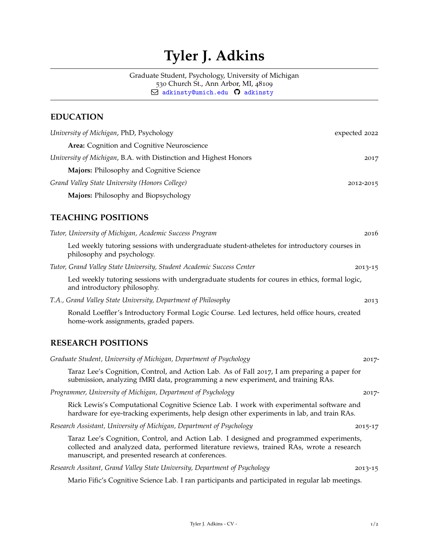# **Tyler J. Adkins**

Graduate Student, Psychology, University of Michigan 530 Church St., Ann Arbor, MI, 48109  $\boxdot$  [adkinsty@umich.edu](mailto:)  $\, \mathsf{\Omega} \,$  [adkinsty](http://github.com/adkinsty)

# **EDUCATION**

| University of Michigan, PhD, Psychology                                                                                                                                                                                                  | expected 2022 |
|------------------------------------------------------------------------------------------------------------------------------------------------------------------------------------------------------------------------------------------|---------------|
| Area: Cognition and Cognitive Neuroscience                                                                                                                                                                                               |               |
| University of Michigan, B.A. with Distinction and Highest Honors                                                                                                                                                                         | 2017          |
| Majors: Philosophy and Cognitive Science                                                                                                                                                                                                 |               |
| Grand Valley State University (Honors College)                                                                                                                                                                                           | 2012-2015     |
| Majors: Philosophy and Biopsychology                                                                                                                                                                                                     |               |
| <b>TEACHING POSITIONS</b>                                                                                                                                                                                                                |               |
| Tutor, University of Michigan, Academic Success Program                                                                                                                                                                                  | 2016          |
| Led weekly tutoring sessions with undergraduate student-atheletes for introductory courses in<br>philosophy and psychology.                                                                                                              |               |
| Tutor, Grand Valley State University, Student Academic Success Center                                                                                                                                                                    | $2013 - 15$   |
| Led weekly tutoring sessions with undergraduate students for coures in ethics, formal logic,<br>and introductory philosophy.                                                                                                             |               |
| T.A., Grand Valley State University, Department of Philosophy                                                                                                                                                                            | 2013          |
| Ronald Loeffler's Introductory Formal Logic Course. Led lectures, held office hours, created<br>home-work assignments, graded papers.                                                                                                    |               |
| <b>RESEARCH POSITIONS</b>                                                                                                                                                                                                                |               |
| Graduate Student, University of Michigan, Department of Psychology                                                                                                                                                                       | 2017-         |
| Taraz Lee's Cognition, Control, and Action Lab. As of Fall 2017, I am preparing a paper for<br>submission, analyzing fMRI data, programming a new experiment, and training RAs.                                                          |               |
| Programmer, University of Michigan, Department of Psychology                                                                                                                                                                             | 2017-         |
| Rick Lewis's Computational Cognitive Science Lab. I work with experimental software and<br>hardware for eye-tracking experiments, help design other experiments in lab, and train RAs.                                                   |               |
| Research Assistant, University of Michigan, Department of Psychology                                                                                                                                                                     | 2015-17       |
| Taraz Lee's Cognition, Control, and Action Lab. I designed and programmed experiments,<br>collected and analyzed data, performed literature reviews, trained RAs, wrote a research<br>manuscript, and presented research at conferences. |               |
| Research Assitant, Grand Valley State University, Department of Psychology                                                                                                                                                               | 2013-15       |
| Mario Fific's Cognitive Science Lab. I ran participants and participated in regular lab meetings.                                                                                                                                        |               |